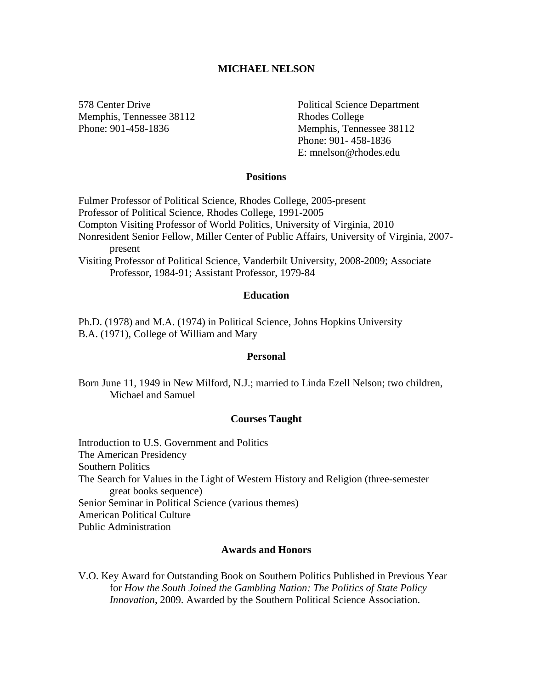# **MICHAEL NELSON**

Memphis, Tennessee 38112 Rhodes College

578 Center Drive Political Science Department Phone: 901-458-1836 Memphis, Tennessee 38112 Phone: 901- 458-1836 E: mnelson@rhodes.edu

# **Positions**

Fulmer Professor of Political Science, Rhodes College, 2005-present Professor of Political Science, Rhodes College, 1991-2005 Compton Visiting Professor of World Politics, University of Virginia, 2010 Nonresident Senior Fellow, Miller Center of Public Affairs, University of Virginia, 2007 present Visiting Professor of Political Science, Vanderbilt University, 2008-2009; Associate Professor, 1984-91; Assistant Professor, 1979-84

#### **Education**

Ph.D. (1978) and M.A. (1974) in Political Science, Johns Hopkins University B.A. (1971), College of William and Mary

#### **Personal**

Born June 11, 1949 in New Milford, N.J.; married to Linda Ezell Nelson; two children, Michael and Samuel

# **Courses Taught**

Introduction to U.S. Government and Politics The American Presidency Southern Politics The Search for Values in the Light of Western History and Religion (three-semester great books sequence) Senior Seminar in Political Science (various themes) American Political Culture Public Administration

# **Awards and Honors**

V.O. Key Award for Outstanding Book on Southern Politics Published in Previous Year for *How the South Joined the Gambling Nation: The Politics of State Policy Innovation*, 2009. Awarded by the Southern Political Science Association.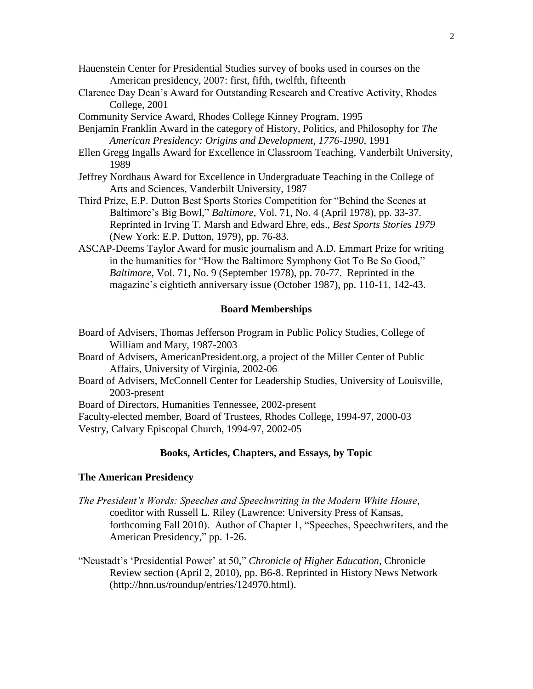- Hauenstein Center for Presidential Studies survey of books used in courses on the American presidency, 2007: first, fifth, twelfth, fifteenth
- Clarence Day Dean"s Award for Outstanding Research and Creative Activity, Rhodes College, 2001
- Community Service Award, Rhodes College Kinney Program, 1995
- Benjamin Franklin Award in the category of History, Politics, and Philosophy for *The American Presidency: Origins and Development, 1776-1990*, 1991
- Ellen Gregg Ingalls Award for Excellence in Classroom Teaching, Vanderbilt University, 1989
- Jeffrey Nordhaus Award for Excellence in Undergraduate Teaching in the College of Arts and Sciences, Vanderbilt University, 1987
- Third Prize, E.P. Dutton Best Sports Stories Competition for "Behind the Scenes at Baltimore"s Big Bowl," *Baltimore*, Vol. 71, No. 4 (April 1978), pp. 33-37. Reprinted in Irving T. Marsh and Edward Ehre, eds., *Best Sports Stories 1979* (New York: E.P. Dutton, 1979), pp. 76-83.
- ASCAP-Deems Taylor Award for music journalism and A.D. Emmart Prize for writing in the humanities for "How the Baltimore Symphony Got To Be So Good," *Baltimore*, Vol. 71, No. 9 (September 1978), pp. 70-77. Reprinted in the magazine's eightieth anniversary issue (October 1987), pp. 110-11, 142-43.

#### **Board Memberships**

- Board of Advisers, Thomas Jefferson Program in Public Policy Studies, College of William and Mary, 1987-2003
- Board of Advisers, AmericanPresident.org, a project of the Miller Center of Public Affairs, University of Virginia, 2002-06
- Board of Advisers, McConnell Center for Leadership Studies, University of Louisville, 2003-present

Board of Directors, Humanities Tennessee, 2002-present

Faculty-elected member, Board of Trustees, Rhodes College, 1994-97, 2000-03 Vestry, Calvary Episcopal Church, 1994-97, 2002-05

### **Books, Articles, Chapters, and Essays, by Topic**

#### **The American Presidency**

- *The President's Words: Speeches and Speechwriting in the Modern White House*, coeditor with Russell L. Riley (Lawrence: University Press of Kansas, forthcoming Fall 2010). Author of Chapter 1, "Speeches, Speechwriters, and the American Presidency," pp. 1-26.
- "Neustadt"s "Presidential Power" at 50," *Chronicle of Higher Education*, Chronicle Review section (April 2, 2010), pp. B6-8. Reprinted in History News Network (http://hnn.us/roundup/entries/124970.html).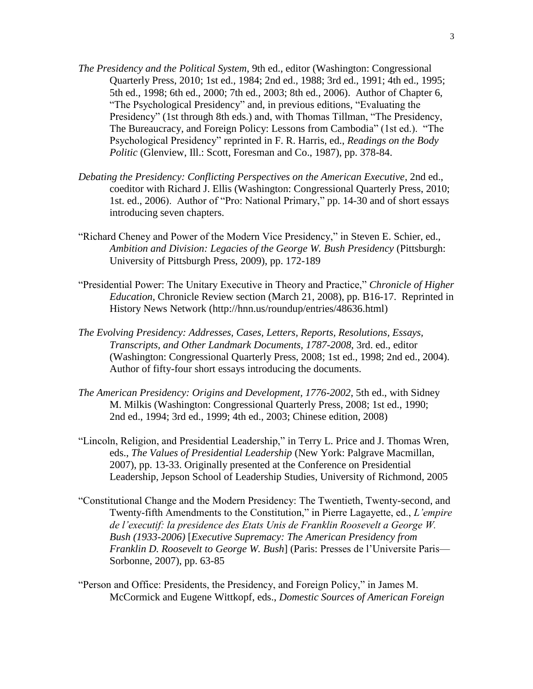- *The Presidency and the Political System*, 9th ed., editor (Washington: Congressional Quarterly Press, 2010; 1st ed., 1984; 2nd ed., 1988; 3rd ed., 1991; 4th ed., 1995; 5th ed., 1998; 6th ed., 2000; 7th ed., 2003; 8th ed., 2006). Author of Chapter 6, "The Psychological Presidency" and, in previous editions, "Evaluating the Presidency" (1st through 8th eds.) and, with Thomas Tillman, "The Presidency, The Bureaucracy, and Foreign Policy: Lessons from Cambodia" (1st ed.). "The Psychological Presidency" reprinted in F. R. Harris, ed., *Readings on the Body Politic* (Glenview, Ill.: Scott, Foresman and Co., 1987), pp. 378-84.
- *Debating the Presidency: Conflicting Perspectives on the American Executive*, 2nd ed., coeditor with Richard J. Ellis (Washington: Congressional Quarterly Press, 2010; 1st. ed., 2006). Author of "Pro: National Primary," pp. 14-30 and of short essays introducing seven chapters.
- "Richard Cheney and Power of the Modern Vice Presidency," in Steven E. Schier, ed., *Ambition and Division: Legacies of the George W. Bush Presidency* (Pittsburgh: University of Pittsburgh Press, 2009), pp. 172-189
- "Presidential Power: The Unitary Executive in Theory and Practice," *Chronicle of Higher Education*, Chronicle Review section (March 21, 2008), pp. B16-17. Reprinted in History News Network (http://hnn.us/roundup/entries/48636.html)
- *The Evolving Presidency: Addresses, Cases, Letters, Reports, Resolutions, Essays, Transcripts, and Other Landmark Documents, 1787-2008*, 3rd. ed., editor (Washington: Congressional Quarterly Press, 2008; 1st ed., 1998; 2nd ed., 2004). Author of fifty-four short essays introducing the documents.
- *The American Presidency: Origins and Development, 1776-2002*, 5th ed., with Sidney M. Milkis (Washington: Congressional Quarterly Press, 2008; 1st ed., 1990; 2nd ed., 1994; 3rd ed., 1999; 4th ed., 2003; Chinese edition, 2008)
- "Lincoln, Religion, and Presidential Leadership," in Terry L. Price and J. Thomas Wren, eds., *The Values of Presidential Leadership* (New York: Palgrave Macmillan, 2007), pp. 13-33. Originally presented at the Conference on Presidential Leadership, Jepson School of Leadership Studies, University of Richmond, 2005
- "Constitutional Change and the Modern Presidency: The Twentieth, Twenty-second, and Twenty-fifth Amendments to the Constitution," in Pierre Lagayette, ed., *L'empire de l'executif: la presidence des Etats Unis de Franklin Roosevelt a George W. Bush (1933-2006)* [*Executive Supremacy: The American Presidency from Franklin D. Roosevelt to George W. Bush*] (Paris: Presses de l"Universite Paris— Sorbonne, 2007), pp. 63-85
- "Person and Office: Presidents, the Presidency, and Foreign Policy," in James M. McCormick and Eugene Wittkopf, eds., *Domestic Sources of American Foreign*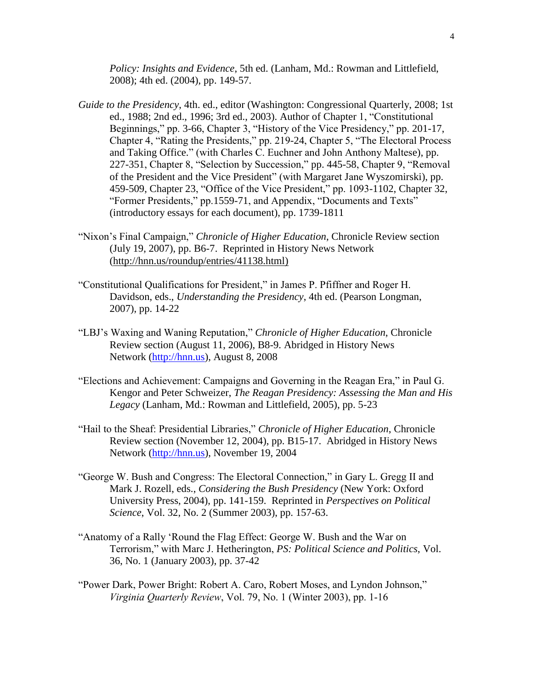*Policy: Insights and Evidence*, 5th ed. (Lanham, Md.: Rowman and Littlefield, 2008); 4th ed. (2004), pp. 149-57.

- *Guide to the Presidency*, 4th. ed., editor (Washington: Congressional Quarterly, 2008; 1st ed., 1988; 2nd ed., 1996; 3rd ed., 2003). Author of Chapter 1, "Constitutional Beginnings," pp. 3-66, Chapter 3, "History of the Vice Presidency," pp. 201-17, Chapter 4, "Rating the Presidents," pp. 219-24, Chapter 5, "The Electoral Process and Taking Office." (with Charles C. Euchner and John Anthony Maltese), pp. 227-351, Chapter 8, "Selection by Succession," pp. 445-58, Chapter 9, "Removal of the President and the Vice President" (with Margaret Jane Wyszomirski), pp. 459-509, Chapter 23, "Office of the Vice President," pp. 1093-1102, Chapter 32, "Former Presidents," pp.1559-71, and Appendix, "Documents and Texts" (introductory essays for each document), pp. 1739-1811
- "Nixon"s Final Campaign," *Chronicle of Higher Education*, Chronicle Review section (July 19, 2007), pp. B6-7. Reprinted in History News Network (http://hnn.us/roundup/entries/41138.html)
- "Constitutional Qualifications for President," in James P. Pfiffner and Roger H. Davidson, eds., *Understanding the Presidency*, 4th ed. (Pearson Longman, 2007), pp. 14-22
- "LBJ"s Waxing and Waning Reputation," *Chronicle of Higher Education*, Chronicle Review section (August 11, 2006), B8-9. Abridged in History News Network [\(http://hnn.us\)](http://hnn.us/), August 8, 2008
- "Elections and Achievement: Campaigns and Governing in the Reagan Era," in Paul G. Kengor and Peter Schweizer, *The Reagan Presidency: Assessing the Man and His Legacy* (Lanham, Md.: Rowman and Littlefield, 2005), pp. 5-23
- "Hail to the Sheaf: Presidential Libraries," *Chronicle of Higher Education*, Chronicle Review section (November 12, 2004), pp. B15-17. Abridged in History News Network [\(http://hnn.us\)](http://hnn.us/), November 19, 2004
- "George W. Bush and Congress: The Electoral Connection," in Gary L. Gregg II and Mark J. Rozell, eds., *Considering the Bush Presidency* (New York: Oxford University Press, 2004), pp. 141-159. Reprinted in *Perspectives on Political Science*, Vol. 32, No. 2 (Summer 2003), pp. 157-63.
- "Anatomy of a Rally "Round the Flag Effect: George W. Bush and the War on Terrorism," with Marc J. Hetherington, *PS: Political Science and Politics*, Vol. 36, No. 1 (January 2003), pp. 37-42
- "Power Dark, Power Bright: Robert A. Caro, Robert Moses, and Lyndon Johnson," *Virginia Quarterly Review*, Vol. 79, No. 1 (Winter 2003), pp. 1-16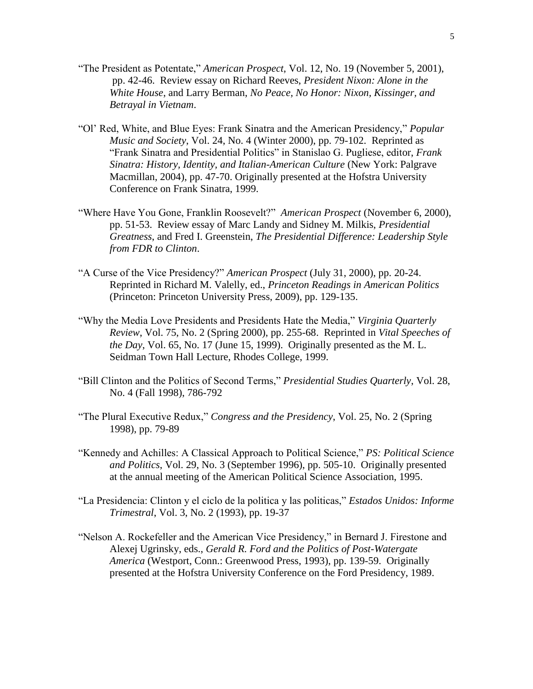- "The President as Potentate," *American Prospect*, Vol. 12, No. 19 (November 5, 2001), pp. 42-46. Review essay on Richard Reeves, *President Nixon: Alone in the White House*, and Larry Berman, *No Peace, No Honor: Nixon, Kissinger, and Betrayal in Vietnam*.
- "Ol" Red, White, and Blue Eyes: Frank Sinatra and the American Presidency," *Popular Music and Society*, Vol. 24, No. 4 (Winter 2000), pp. 79-102. Reprinted as "Frank Sinatra and Presidential Politics" in Stanislao G. Pugliese, editor, *Frank Sinatra: History, Identity, and Italian-American Culture* (New York: Palgrave Macmillan, 2004), pp. 47-70. Originally presented at the Hofstra University Conference on Frank Sinatra, 1999.
- "Where Have You Gone, Franklin Roosevelt?" *American Prospect* (November 6, 2000), pp. 51-53. Review essay of Marc Landy and Sidney M. Milkis, *Presidential Greatness*, and Fred I. Greenstein, *The Presidential Difference: Leadership Style from FDR to Clinton*.
- "A Curse of the Vice Presidency?" *American Prospect* (July 31, 2000), pp. 20-24. Reprinted in Richard M. Valelly, ed., *Princeton Readings in American Politics* (Princeton: Princeton University Press, 2009), pp. 129-135.
- "Why the Media Love Presidents and Presidents Hate the Media," *Virginia Quarterly Review*, Vol. 75, No. 2 (Spring 2000), pp. 255-68. Reprinted in *Vital Speeches of the Day*, Vol. 65, No. 17 (June 15, 1999). Originally presented as the M. L. Seidman Town Hall Lecture, Rhodes College, 1999.
- "Bill Clinton and the Politics of Second Terms," *Presidential Studies Quarterly*, Vol. 28, No. 4 (Fall 1998), 786-792
- "The Plural Executive Redux," *Congress and the Presidency*, Vol. 25, No. 2 (Spring 1998), pp. 79-89
- "Kennedy and Achilles: A Classical Approach to Political Science," *PS: Political Science and Politics*, Vol. 29, No. 3 (September 1996), pp. 505-10. Originally presented at the annual meeting of the American Political Science Association, 1995.
- "La Presidencia: Clinton y el ciclo de la politica y las politicas," *Estados Unidos: Informe Trimestral*, Vol. 3, No. 2 (1993), pp. 19-37
- "Nelson A. Rockefeller and the American Vice Presidency," in Bernard J. Firestone and Alexej Ugrinsky, eds., *Gerald R. Ford and the Politics of Post-Watergate America* (Westport, Conn.: Greenwood Press, 1993), pp. 139-59. Originally presented at the Hofstra University Conference on the Ford Presidency, 1989.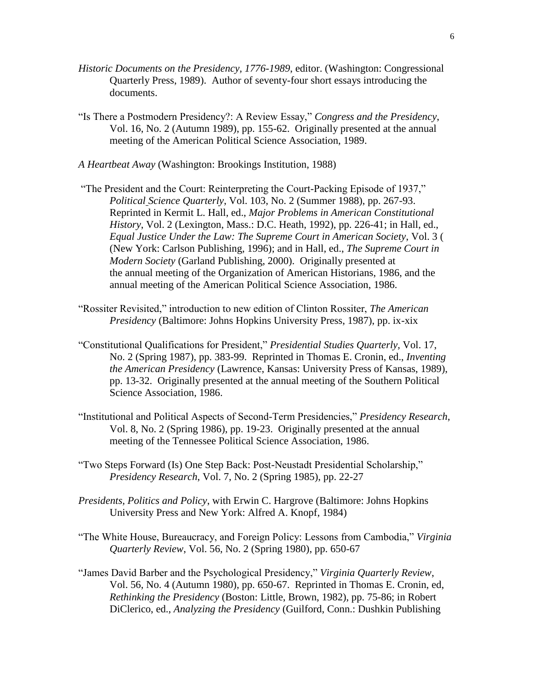- *Historic Documents on the Presidency, 1776-1989*, editor. (Washington: Congressional Quarterly Press, 1989). Author of seventy-four short essays introducing the documents.
- "Is There a Postmodern Presidency?: A Review Essay," *Congress and the Presidency*, Vol. 16, No. 2 (Autumn 1989), pp. 155-62. Originally presented at the annual meeting of the American Political Science Association, 1989.
- *A Heartbeat Away* (Washington: Brookings Institution, 1988)
- "The President and the Court: Reinterpreting the Court-Packing Episode of 1937," *Political Science Quarterly*, Vol. 103, No. 2 (Summer 1988), pp. 267-93. Reprinted in Kermit L. Hall, ed., *Major Problems in American Constitutional History*, Vol. 2 (Lexington, Mass.: D.C. Heath, 1992), pp. 226-41; in Hall, ed., *Equal Justice Under the Law: The Supreme Court in American Society*, Vol. 3 ( (New York: Carlson Publishing, 1996); and in Hall, ed., *The Supreme Court in Modern Society* (Garland Publishing, 2000). Originally presented at the annual meeting of the Organization of American Historians, 1986, and the annual meeting of the American Political Science Association, 1986.
- "Rossiter Revisited," introduction to new edition of Clinton Rossiter, *The American Presidency* (Baltimore: Johns Hopkins University Press, 1987), pp. ix-xix
- "Constitutional Qualifications for President," *Presidential Studies Quarterly,* Vol. 17, No. 2 (Spring 1987), pp. 383-99. Reprinted in Thomas E. Cronin, ed., *Inventing the American Presidency* (Lawrence, Kansas: University Press of Kansas, 1989), pp. 13-32. Originally presented at the annual meeting of the Southern Political Science Association, 1986.
- "Institutional and Political Aspects of Second-Term Presidencies," *Presidency Research*, Vol. 8, No. 2 (Spring 1986), pp. 19-23. Originally presented at the annual meeting of the Tennessee Political Science Association, 1986.
- "Two Steps Forward (Is) One Step Back: Post-Neustadt Presidential Scholarship," *Presidency Research*, Vol. 7, No. 2 (Spring 1985), pp. 22-27
- *Presidents, Politics and Policy*, with Erwin C. Hargrove (Baltimore: Johns Hopkins University Press and New York: Alfred A. Knopf, 1984)
- "The White House, Bureaucracy, and Foreign Policy: Lessons from Cambodia," *Virginia Quarterly Review*, Vol. 56, No. 2 (Spring 1980), pp. 650-67
- "James David Barber and the Psychological Presidency," *Virginia Quarterly Review*, Vol. 56, No. 4 (Autumn 1980), pp. 650-67. Reprinted in Thomas E. Cronin, ed, *Rethinking the Presidency* (Boston: Little, Brown, 1982), pp. 75-86; in Robert DiClerico, ed., *Analyzing the Presidency* (Guilford, Conn.: Dushkin Publishing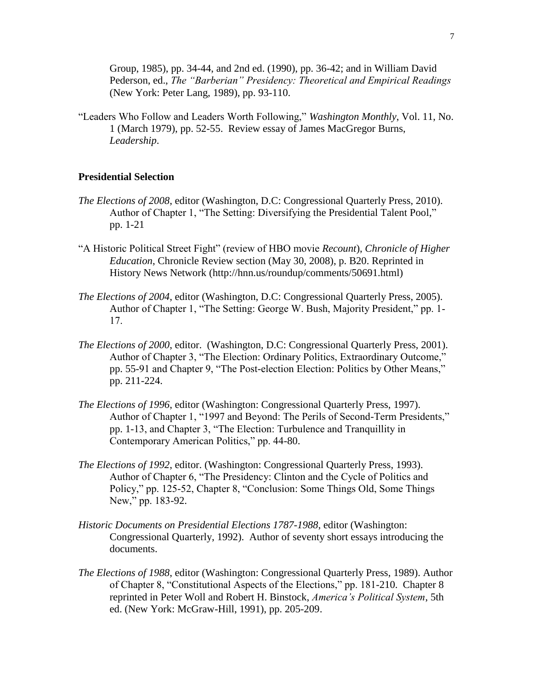Group, 1985), pp. 34-44, and 2nd ed. (1990), pp. 36-42; and in William David Pederson, ed., *The "Barberian" Presidency: Theoretical and Empirical Readings* (New York: Peter Lang, 1989), pp. 93-110.

"Leaders Who Follow and Leaders Worth Following," *Washington Monthly*, Vol. 11, No. 1 (March 1979), pp. 52-55. Review essay of James MacGregor Burns, *Leadership*.

## **Presidential Selection**

- *The Elections of 2008*, editor (Washington, D.C: Congressional Quarterly Press, 2010). Author of Chapter 1, "The Setting: Diversifying the Presidential Talent Pool," pp. 1-21
- "A Historic Political Street Fight" (review of HBO movie *Recount*), *Chronicle of Higher Education*, Chronicle Review section (May 30, 2008), p. B20. Reprinted in History News Network (http://hnn.us/roundup/comments/50691.html)
- *The Elections of 2004*, editor (Washington, D.C: Congressional Quarterly Press, 2005). Author of Chapter 1, "The Setting: George W. Bush, Majority President," pp. 1- 17.
- *The Elections of 2000*, editor. (Washington, D.C: Congressional Quarterly Press, 2001). Author of Chapter 3, "The Election: Ordinary Politics, Extraordinary Outcome," pp. 55-91 and Chapter 9, "The Post-election Election: Politics by Other Means," pp. 211-224.
- *The Elections of 1996*, editor (Washington: Congressional Quarterly Press, 1997). Author of Chapter 1, "1997 and Beyond: The Perils of Second-Term Presidents," pp. 1-13, and Chapter 3, "The Election: Turbulence and Tranquillity in Contemporary American Politics," pp. 44-80.
- *The Elections of 1992*, editor. (Washington: Congressional Quarterly Press, 1993). Author of Chapter 6, "The Presidency: Clinton and the Cycle of Politics and Policy," pp. 125-52, Chapter 8, "Conclusion: Some Things Old, Some Things New," pp. 183-92.
- *Historic Documents on Presidential Elections 1787-1988*, editor (Washington: Congressional Quarterly, 1992). Author of seventy short essays introducing the documents.
- *The Elections of 1988*, editor (Washington: Congressional Quarterly Press, 1989). Author of Chapter 8, "Constitutional Aspects of the Elections," pp. 181-210. Chapter 8 reprinted in Peter Woll and Robert H. Binstock, *America's Political System*, 5th ed. (New York: McGraw-Hill, 1991), pp. 205-209.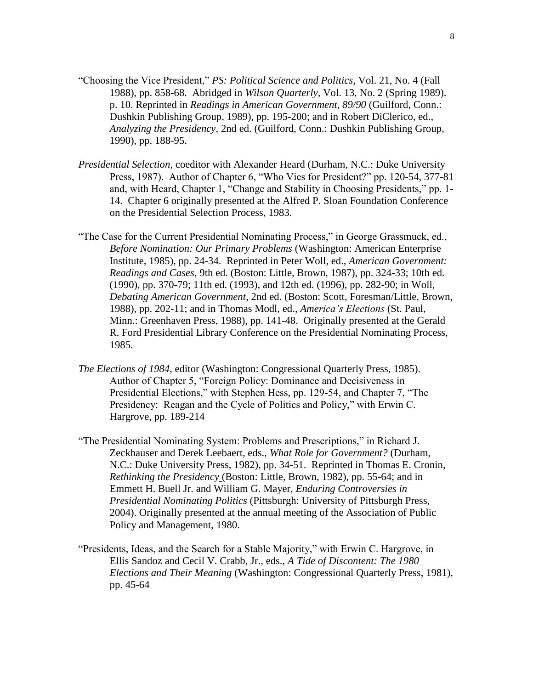- "Choosing the Vice President," *PS: Political Science and Politics*, Vol. 21, No. 4 (Fall 1988), pp. 858-68. Abridged in *Wilson Quarterly,* Vol. 13, No. 2 (Spring 1989). p. 10. Reprinted in *Readings in American Government, 89/90* (Guilford, Conn.: Dushkin Publishing Group, 1989), pp. 195-200; and in Robert DiClerico, ed., *Analyzing the Presidency*, 2nd ed. (Guilford, Conn.: Dushkin Publishing Group, 1990), pp. 188-95.
- *Presidential Selection,* coeditor with Alexander Heard (Durham, N.C.: Duke University Press, 1987). Author of Chapter 6, "Who Vies for President?" pp. 120-54, 377-81 and, with Heard, Chapter 1, "Change and Stability in Choosing Presidents," pp. 1- 14. Chapter 6 originally presented at the Alfred P. Sloan Foundation Conference on the Presidential Selection Process, 1983.
- "The Case for the Current Presidential Nominating Process," in George Grassmuck, ed., *Before Nomination: Our Primary Problems* (Washington: American Enterprise Institute, 1985), pp. 24-34. Reprinted in Peter Woll, ed., *American Government: Readings and Cases*, 9th ed. (Boston: Little, Brown, 1987), pp. 324-33; 10th ed. (1990), pp. 370-79; 11th ed. (1993), and 12th ed. (1996), pp. 282-90; in Woll, *Debating American Government*, 2nd ed. (Boston: Scott, Foresman/Little, Brown, 1988), pp. 202-11; and in Thomas Modl, ed., *America's Elections* (St. Paul, Minn.: Greenhaven Press, 1988), pp. 141-48. Originally presented at the Gerald R. Ford Presidential Library Conference on the Presidential Nominating Process, 1985.
- *The Elections of 1984*, editor (Washington: Congressional Quarterly Press, 1985). Author of Chapter 5, "Foreign Policy: Dominance and Decisiveness in Presidential Elections," with Stephen Hess, pp. 129-54, and Chapter 7, "The Presidency: Reagan and the Cycle of Politics and Policy," with Erwin C. Hargrove, pp. 189-214
- "The Presidential Nominating System: Problems and Prescriptions," in Richard J. Zeckhauser and Derek Leebaert, eds., *What Role for Government?* (Durham, N.C.: Duke University Press, 1982), pp. 34-51. Reprinted in Thomas E. Cronin, *Rethinking the Presidency* (Boston: Little, Brown, 1982), pp. 55-64; and in Emmett H. Buell Jr. and William G. Mayer, *Enduring Controversies in Presidential Nominating Politics* (Pittsburgh: University of Pittsburgh Press, 2004). Originally presented at the annual meeting of the Association of Public Policy and Management, 1980.
- "Presidents, Ideas, and the Search for a Stable Majority," with Erwin C. Hargrove, in Ellis Sandoz and Cecil V. Crabb, Jr., eds., *A Tide of Discontent: The 1980 Elections and Their Meaning* (Washington: Congressional Quarterly Press, 1981), pp. 45-64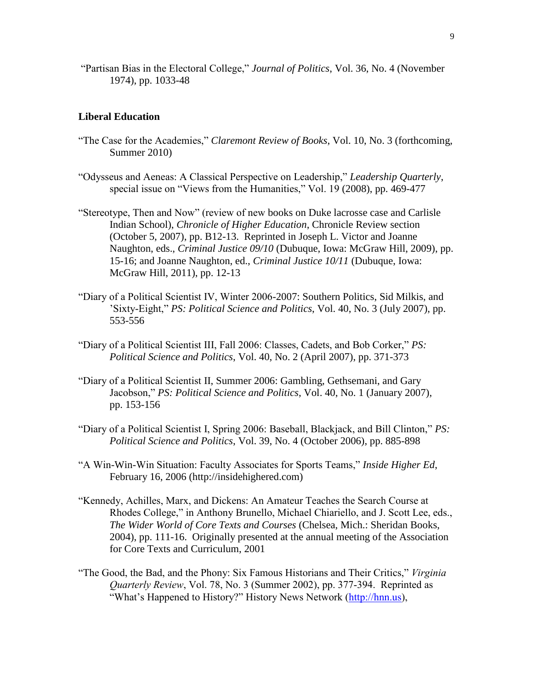"Partisan Bias in the Electoral College," *Journal of Politics*, Vol. 36, No. 4 (November 1974), pp. 1033-48

### **Liberal Education**

- "The Case for the Academies," *Claremont Review of Books*, Vol. 10, No. 3 (forthcoming, Summer 2010)
- "Odysseus and Aeneas: A Classical Perspective on Leadership," *Leadership Quarterly*, special issue on "Views from the Humanities," Vol. 19 (2008), pp. 469-477
- "Stereotype, Then and Now" (review of new books on Duke lacrosse case and Carlisle Indian School), *Chronicle of Higher Education*, Chronicle Review section (October 5, 2007), pp. B12-13. Reprinted in Joseph L. Victor and Joanne Naughton, eds., *Criminal Justice 09/10* (Dubuque, Iowa: McGraw Hill, 2009), pp. 15-16; and Joanne Naughton, ed., *Criminal Justice 10/11* (Dubuque, Iowa: McGraw Hill, 2011), pp. 12-13
- "Diary of a Political Scientist IV, Winter 2006-2007: Southern Politics, Sid Milkis, and "Sixty-Eight," *PS: Political Science and Politics*, Vol. 40, No. 3 (July 2007), pp. 553-556
- "Diary of a Political Scientist III, Fall 2006: Classes, Cadets, and Bob Corker," *PS: Political Science and Politics*, Vol. 40, No. 2 (April 2007), pp. 371-373
- "Diary of a Political Scientist II, Summer 2006: Gambling, Gethsemani, and Gary Jacobson," *PS: Political Science and Politics*, Vol. 40, No. 1 (January 2007), pp. 153-156
- "Diary of a Political Scientist I, Spring 2006: Baseball, Blackjack, and Bill Clinton," *PS: Political Science and Politics*, Vol. 39, No. 4 (October 2006), pp. 885-898
- "A Win-Win-Win Situation: Faculty Associates for Sports Teams," *Inside Higher Ed*, February 16, 2006 (http://insidehighered.com)
- "Kennedy, Achilles, Marx, and Dickens: An Amateur Teaches the Search Course at Rhodes College," in Anthony Brunello, Michael Chiariello, and J. Scott Lee, eds., *The Wider World of Core Texts and Courses* (Chelsea, Mich.: Sheridan Books, 2004), pp. 111-16. Originally presented at the annual meeting of the Association for Core Texts and Curriculum, 2001
- "The Good, the Bad, and the Phony: Six Famous Historians and Their Critics," *Virginia Quarterly Review*, Vol. 78, No. 3 (Summer 2002), pp. 377-394. Reprinted as "What's Happened to History?" History News Network ([http://hnn.us\)](http://hnn.us/),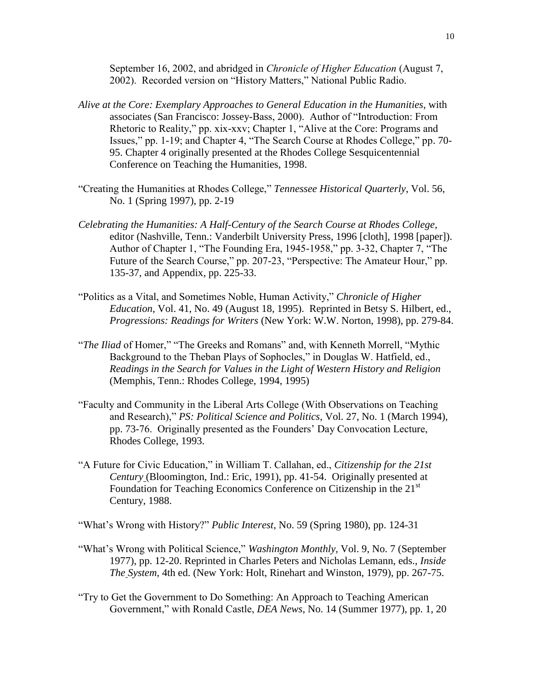September 16, 2002, and abridged in *Chronicle of Higher Education* (August 7, 2002). Recorded version on "History Matters," National Public Radio.

- *Alive at the Core: Exemplary Approaches to General Education in the Humanities*, with associates (San Francisco: Jossey-Bass, 2000). Author of "Introduction: From Rhetoric to Reality," pp. xix-xxv; Chapter 1, "Alive at the Core: Programs and Issues," pp. 1-19; and Chapter 4, "The Search Course at Rhodes College," pp. 70- 95. Chapter 4 originally presented at the Rhodes College Sesquicentennial Conference on Teaching the Humanities, 1998.
- "Creating the Humanities at Rhodes College," *Tennessee Historical Quarterly*, Vol. 56, No. 1 (Spring 1997), pp. 2-19
- *Celebrating the Humanities: A Half-Century of the Search Course at Rhodes College*, editor (Nashville, Tenn.: Vanderbilt University Press, 1996 [cloth], 1998 [paper]). Author of Chapter 1, "The Founding Era, 1945-1958," pp. 3-32, Chapter 7, "The Future of the Search Course," pp. 207-23, "Perspective: The Amateur Hour," pp. 135-37, and Appendix, pp. 225-33.
- "Politics as a Vital, and Sometimes Noble, Human Activity," *Chronicle of Higher Education*, Vol. 41, No. 49 (August 18, 1995). Reprinted in Betsy S. Hilbert, ed., *Progressions: Readings for Writers* (New York: W.W. Norton, 1998), pp. 279-84.
- "*The Iliad* of Homer," "The Greeks and Romans" and, with Kenneth Morrell, "Mythic Background to the Theban Plays of Sophocles," in Douglas W. Hatfield, ed., *Readings in the Search for Values in the Light of Western History and Religion* (Memphis, Tenn.: Rhodes College, 1994, 1995)
- "Faculty and Community in the Liberal Arts College (With Observations on Teaching and Research)," *PS: Political Science and Politics*, Vol. 27, No. 1 (March 1994), pp. 73-76. Originally presented as the Founders" Day Convocation Lecture, Rhodes College, 1993.
- "A Future for Civic Education," in William T. Callahan, ed., *Citizenship for the 21st Century* (Bloomington, Ind.: Eric, 1991), pp. 41-54. Originally presented at Foundation for Teaching Economics Conference on Citizenship in the  $21<sup>st</sup>$ Century, 1988.

"What"s Wrong with History?" *Public Interest*, No. 59 (Spring 1980), pp. 124-31

- "What"s Wrong with Political Science," *Washington Monthly*, Vol. 9, No. 7 (September 1977), pp. 12-20. Reprinted in Charles Peters and Nicholas Lemann, eds., *Inside The System*, 4th ed. (New York: Holt, Rinehart and Winston, 1979), pp. 267-75.
- "Try to Get the Government to Do Something: An Approach to Teaching American Government," with Ronald Castle, *DEA News*, No. 14 (Summer 1977), pp. 1, 20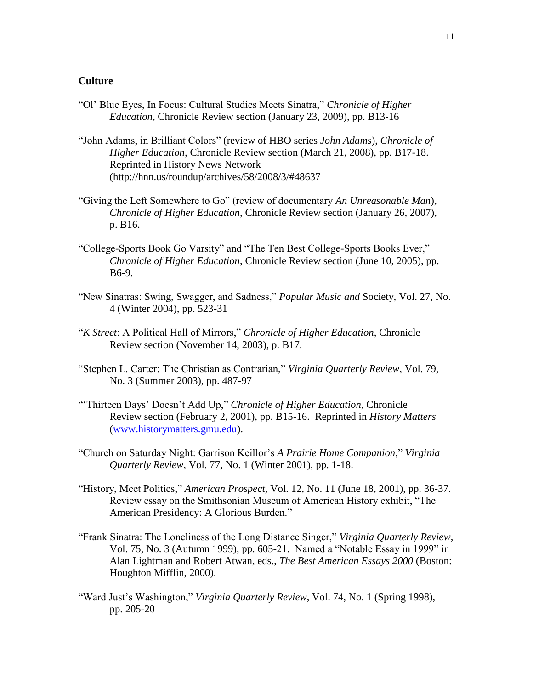# **Culture**

- "Ol" Blue Eyes, In Focus: Cultural Studies Meets Sinatra," *Chronicle of Higher Education*, Chronicle Review section (January 23, 2009), pp. B13-16
- "John Adams, in Brilliant Colors" (review of HBO series *John Adams*), *Chronicle of Higher Education*, Chronicle Review section (March 21, 2008), pp. B17-18. Reprinted in History News Network (http://hnn.us/roundup/archives/58/2008/3/#48637
- "Giving the Left Somewhere to Go" (review of documentary *An Unreasonable Man*), *Chronicle of Higher Education*, Chronicle Review section (January 26, 2007), p. B16.
- "College-Sports Book Go Varsity" and "The Ten Best College-Sports Books Ever," *Chronicle of Higher Education*, Chronicle Review section (June 10, 2005), pp. B6-9.
- "New Sinatras: Swing, Swagger, and Sadness," *Popular Music and* Society, Vol. 27, No. 4 (Winter 2004), pp. 523-31
- "*K Street*: A Political Hall of Mirrors," *Chronicle of Higher Education*, Chronicle Review section (November 14, 2003), p. B17.
- "Stephen L. Carter: The Christian as Contrarian," *Virginia Quarterly Review*, Vol. 79, No. 3 (Summer 2003), pp. 487-97
- ""Thirteen Days" Doesn"t Add Up," *Chronicle of Higher Education*, Chronicle Review section (February 2, 2001), pp. B15-16. Reprinted in *History Matters* [\(www.historymatters.gmu.edu\)](http://www.historymatters.gmu.edu/).
- "Church on Saturday Night: Garrison Keillor"s *A Prairie Home Companion*," *Virginia Quarterly Review*, Vol. 77, No. 1 (Winter 2001), pp. 1-18.
- "History, Meet Politics," *American Prospect*, Vol. 12, No. 11 (June 18, 2001), pp. 36-37. Review essay on the Smithsonian Museum of American History exhibit, "The American Presidency: A Glorious Burden."
- "Frank Sinatra: The Loneliness of the Long Distance Singer," *Virginia Quarterly Review*, Vol. 75, No. 3 (Autumn 1999), pp. 605-21. Named a "Notable Essay in 1999" in Alan Lightman and Robert Atwan, eds., *The Best American Essays 2000* (Boston: Houghton Mifflin, 2000).
- "Ward Just's Washington," *Virginia Quarterly Review*, Vol. 74, No. 1 (Spring 1998), pp. 205-20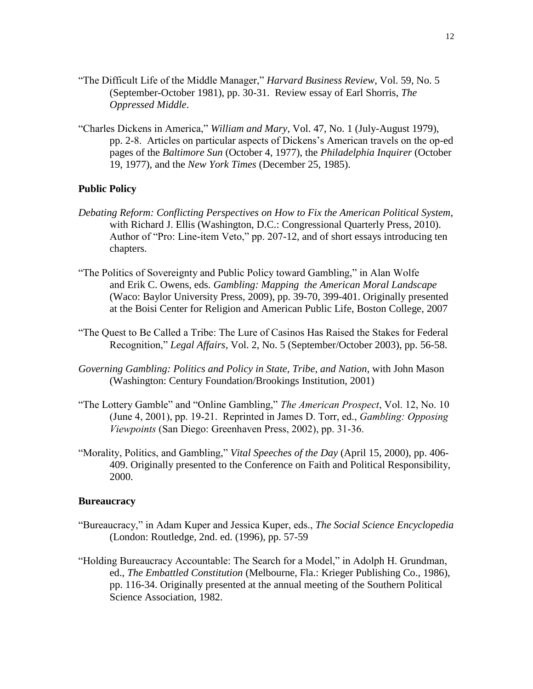- "The Difficult Life of the Middle Manager," *Harvard Business Review*, Vol. 59, No. 5 (September-October 1981), pp. 30-31. Review essay of Earl Shorris, *The Oppressed Middle*.
- "Charles Dickens in America," *William and Mary*, Vol. 47, No. 1 (July-August 1979), pp. 2-8. Articles on particular aspects of Dickens"s American travels on the op-ed pages of the *Baltimore Sun* (October 4, 1977), the *Philadelphia Inquirer* (October 19, 1977), and the *New York Times* (December 25, 1985).

# **Public Policy**

- *Debating Reform: Conflicting Perspectives on How to Fix the American Political System*, with Richard J. Ellis (Washington, D.C.: Congressional Quarterly Press, 2010). Author of "Pro: Line-item Veto," pp. 207-12, and of short essays introducing ten chapters.
- "The Politics of Sovereignty and Public Policy toward Gambling," in Alan Wolfe and Erik C. Owens, eds. *Gambling: Mapping the American Moral Landscape* (Waco: Baylor University Press, 2009), pp. 39-70, 399-401. Originally presented at the Boisi Center for Religion and American Public Life, Boston College, 2007
- "The Quest to Be Called a Tribe: The Lure of Casinos Has Raised the Stakes for Federal Recognition," *Legal Affairs*, Vol. 2, No. 5 (September/October 2003), pp. 56-58.
- *Governing Gambling: Politics and Policy in State, Tribe, and Nation*, with John Mason (Washington: Century Foundation/Brookings Institution, 2001)
- "The Lottery Gamble" and "Online Gambling," *The American Prospect*, Vol. 12, No. 10 (June 4, 2001), pp. 19-21. Reprinted in James D. Torr, ed., *Gambling: Opposing Viewpoints* (San Diego: Greenhaven Press, 2002), pp. 31-36.
- "Morality, Politics, and Gambling," *Vital Speeches of the Day* (April 15, 2000), pp. 406- 409. Originally presented to the Conference on Faith and Political Responsibility, 2000.

#### **Bureaucracy**

- "Bureaucracy," in Adam Kuper and Jessica Kuper, eds., *The Social Science Encyclopedia* (London: Routledge, 2nd. ed. (1996), pp. 57-59
- "Holding Bureaucracy Accountable: The Search for a Model," in Adolph H. Grundman, ed., *The Embattled Constitution* (Melbourne, Fla.: Krieger Publishing Co., 1986), pp. 116-34. Originally presented at the annual meeting of the Southern Political Science Association, 1982.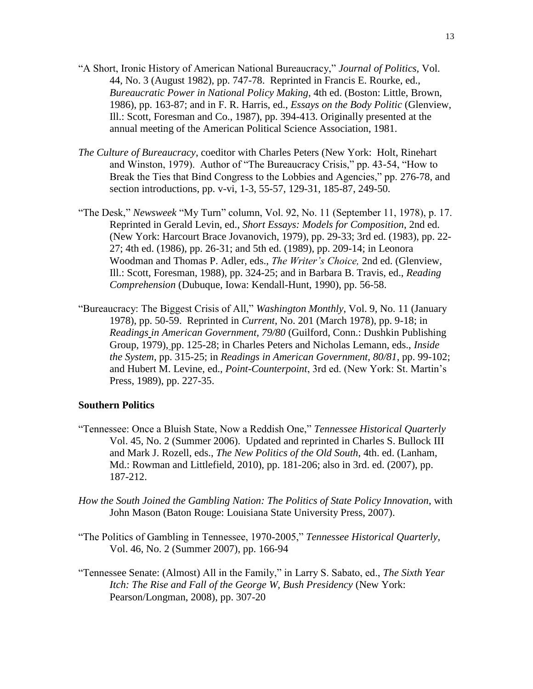- "A Short, Ironic History of American National Bureaucracy," *Journal of Politics,* Vol. 44, No. 3 (August 1982), pp. 747-78. Reprinted in Francis E. Rourke, ed., *Bureaucratic Power in National Policy Making*, 4th ed. (Boston: Little, Brown, 1986), pp. 163-87; and in F. R. Harris, ed., *Essays on the Body Politic* (Glenview, Ill.: Scott, Foresman and Co., 1987), pp. 394-413. Originally presented at the annual meeting of the American Political Science Association, 1981.
- *The Culture of Bureaucracy*, coeditor with Charles Peters (New York: Holt, Rinehart and Winston, 1979). Author of "The Bureaucracy Crisis," pp. 43-54, "How to Break the Ties that Bind Congress to the Lobbies and Agencies," pp. 276-78, and section introductions, pp. v-vi, 1-3, 55-57, 129-31, 185-87, 249-50.
- "The Desk," *Newsweek* "My Turn" column, Vol. 92, No. 11 (September 11, 1978), p. 17. Reprinted in Gerald Levin, ed., *Short Essays: Models for Composition*, 2nd ed. (New York: Harcourt Brace Jovanovich, 1979), pp. 29-33; 3rd ed. (1983), pp. 22- 27; 4th ed. (1986), pp. 26-31; and 5th ed. (1989), pp. 209-14; in Leonora Woodman and Thomas P. Adler, eds., *The Writer's Choice,* 2nd ed. (Glenview, Ill.: Scott, Foresman, 1988), pp. 324-25; and in Barbara B. Travis, ed., *Reading Comprehension* (Dubuque, Iowa: Kendall-Hunt, 1990), pp. 56-58.
- "Bureaucracy: The Biggest Crisis of All," *Washington Monthly*, Vol. 9, No. 11 (January 1978), pp. 50-59. Reprinted in *Current*, No. 201 (March 1978), pp. 9-18; in *Readings in American Government, 79/80* (Guilford, Conn.: Dushkin Publishing Group, 1979), pp. 125-28; in Charles Peters and Nicholas Lemann, eds., *Inside the System*, pp. 315-25; in *Readings in American Government, 80/81*, pp. 99-102; and Hubert M. Levine, ed., *Point-Counterpoint*, 3rd ed. (New York: St. Martin"s Press, 1989), pp. 227-35.

### **Southern Politics**

- "Tennessee: Once a Bluish State, Now a Reddish One," *Tennessee Historical Quarterly* Vol. 45, No. 2 (Summer 2006). Updated and reprinted in Charles S. Bullock III and Mark J. Rozell, eds., *The New Politics of the Old South*, 4th. ed. (Lanham, Md.: Rowman and Littlefield, 2010), pp. 181-206; also in 3rd. ed. (2007), pp. 187-212.
- *How the South Joined the Gambling Nation: The Politics of State Policy Innovation*, with John Mason (Baton Rouge: Louisiana State University Press, 2007).
- "The Politics of Gambling in Tennessee, 1970-2005," *Tennessee Historical Quarterly*, Vol. 46, No. 2 (Summer 2007), pp. 166-94
- "Tennessee Senate: (Almost) All in the Family," in Larry S. Sabato, ed., *The Sixth Year Itch: The Rise and Fall of the George W, Bush Presidency* (New York: Pearson/Longman, 2008), pp. 307-20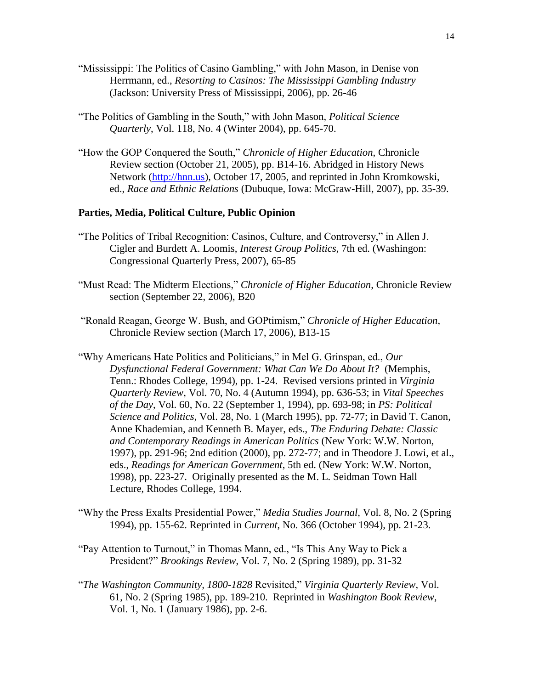- "Mississippi: The Politics of Casino Gambling," with John Mason, in Denise von Herrmann, ed., *Resorting to Casinos: The Mississippi Gambling Industry*  (Jackson: University Press of Mississippi, 2006), pp. 26-46
- "The Politics of Gambling in the South," with John Mason, *Political Science Quarterly*, Vol. 118, No. 4 (Winter 2004), pp. 645-70.
- "How the GOP Conquered the South," *Chronicle of Higher Education*, Chronicle Review section (October 21, 2005), pp. B14-16. Abridged in History News Network [\(http://hnn.us\)](http://hnn.us/), October 17, 2005, and reprinted in John Kromkowski, ed., *Race and Ethnic Relations* (Dubuque, Iowa: McGraw-Hill, 2007), pp. 35-39.

# **Parties, Media, Political Culture, Public Opinion**

- "The Politics of Tribal Recognition: Casinos, Culture, and Controversy," in Allen J. Cigler and Burdett A. Loomis, *Interest Group Politics*, 7th ed. (Washingon: Congressional Quarterly Press, 2007), 65-85
- "Must Read: The Midterm Elections," *Chronicle of Higher Education*, Chronicle Review section (September 22, 2006), B20
- "Ronald Reagan, George W. Bush, and GOPtimism," *Chronicle of Higher Education*, Chronicle Review section (March 17, 2006), B13-15
- "Why Americans Hate Politics and Politicians," in Mel G. Grinspan, ed., *Our Dysfunctional Federal Government: What Can We Do About It?* (Memphis, Tenn.: Rhodes College, 1994), pp. 1-24. Revised versions printed in *Virginia Quarterly Review*, Vol. 70, No. 4 (Autumn 1994), pp. 636-53; in *Vital Speeches of the Day*, Vol. 60, No. 22 (September 1, 1994), pp. 693-98; in *PS: Political Science and Politics*, Vol. 28, No. 1 (March 1995), pp. 72-77; in David T. Canon, Anne Khademian, and Kenneth B. Mayer, eds., *The Enduring Debate: Classic and Contemporary Readings in American Politics* (New York: W.W. Norton, 1997), pp. 291-96; 2nd edition (2000), pp. 272-77; and in Theodore J. Lowi, et al., eds., *Readings for American Government*, 5th ed. (New York: W.W. Norton, 1998), pp. 223-27. Originally presented as the M. L. Seidman Town Hall Lecture, Rhodes College, 1994.
- "Why the Press Exalts Presidential Power," *Media Studies Journal,* Vol. 8, No. 2 (Spring 1994), pp. 155-62. Reprinted in *Current*, No. 366 (October 1994), pp. 21-23.
- "Pay Attention to Turnout," in Thomas Mann, ed., "Is This Any Way to Pick a President?" *Brookings Review*, Vol. 7, No. 2 (Spring 1989), pp. 31-32
- "*The Washington Community, 1800-1828* Revisited," *Virginia Quarterly Review*, Vol. 61, No. 2 (Spring 1985), pp. 189-210. Reprinted in *Washington Book Review*, Vol. 1, No. 1 (January 1986), pp. 2-6.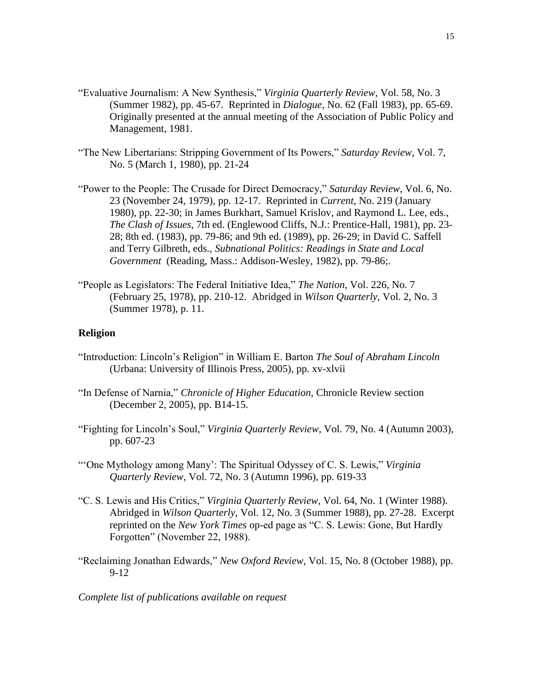- "Evaluative Journalism: A New Synthesis," *Virginia Quarterly Review*, Vol. 58, No. 3 (Summer 1982), pp. 45-67. Reprinted in *Dialogue*, No. 62 (Fall 1983), pp. 65-69. Originally presented at the annual meeting of the Association of Public Policy and Management, 1981.
- "The New Libertarians: Stripping Government of Its Powers," *Saturday Review*, Vol. 7, No. 5 (March 1, 1980), pp. 21-24
- "Power to the People: The Crusade for Direct Democracy," *Saturday Review*, Vol. 6, No. 23 (November 24, 1979), pp. 12-17. Reprinted in *Current*, No. 219 (January 1980), pp. 22-30; in James Burkhart, Samuel Krislov, and Raymond L. Lee, eds., *The Clash of Issues*, 7th ed. (Englewood Cliffs, N.J.: Prentice-Hall, 1981), pp. 23- 28; 8th ed. (1983), pp. 79-86; and 9th ed. (1989), pp. 26-29; in David C. Saffell and Terry Gilbreth, eds., *Subnational Politics: Readings in State and Local Government* (Reading, Mass.: Addison-Wesley, 1982), pp. 79-86;.
- "People as Legislators: The Federal Initiative Idea," *The Nation*, Vol. 226, No. 7 (February 25, 1978), pp. 210-12. Abridged in *Wilson Quarterly*, Vol. 2, No. 3 (Summer 1978), p. 11.

#### **Religion**

- "Introduction: Lincoln"s Religion" in William E. Barton *The Soul of Abraham Lincoln* (Urbana: University of Illinois Press, 2005), pp. xv-xlvii
- "In Defense of Narnia," *Chronicle of Higher Education*, Chronicle Review section (December 2, 2005), pp. B14-15.
- "Fighting for Lincoln"s Soul," *Virginia Quarterly Review*, Vol. 79, No. 4 (Autumn 2003), pp. 607-23
- ""One Mythology among Many": The Spiritual Odyssey of C. S. Lewis," *Virginia Quarterly Review*, Vol. 72, No. 3 (Autumn 1996), pp. 619-33
- "C. S. Lewis and His Critics," *Virginia Quarterly Review*, Vol. 64, No. 1 (Winter 1988). Abridged in *Wilson Quarterly*, Vol. 12, No. 3 (Summer 1988), pp. 27-28. Excerpt reprinted on the *New York Times* op-ed page as "C. S. Lewis: Gone, But Hardly Forgotten" (November 22, 1988).
- "Reclaiming Jonathan Edwards," *New Oxford Review*, Vol. 15, No. 8 (October 1988), pp. 9-12

*Complete list of publications available on request*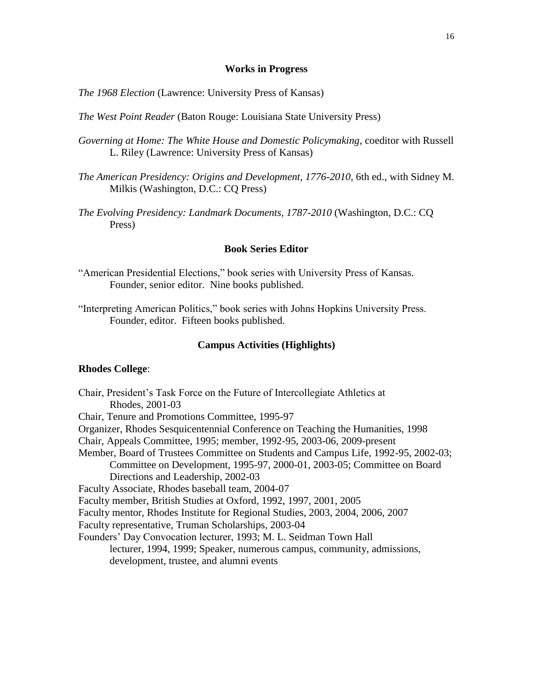#### **Works in Progress**

*The 1968 Election* (Lawrence: University Press of Kansas)

- *The West Point Reader* (Baton Rouge: Louisiana State University Press)
- *Governing at Home: The White House and Domestic Policymaking*, coeditor with Russell L. Riley (Lawrence: University Press of Kansas)
- *The American Presidency: Origins and Development, 1776-2010*, 6th ed., with Sidney M. Milkis (Washington, D.C.: CQ Press)
- *The Evolving Presidency: Landmark Documents, 1787-2010* (Washington, D.C.: CQ Press)

# **Book Series Editor**

- "American Presidential Elections," book series with University Press of Kansas. Founder, senior editor. Nine books published.
- "Interpreting American Politics," book series with Johns Hopkins University Press. Founder, editor. Fifteen books published.

### **Campus Activities (Highlights)**

#### **Rhodes College**:

Chair, President"s Task Force on the Future of Intercollegiate Athletics at Rhodes, 2001-03 Chair, Tenure and Promotions Committee, 1995-97 Organizer, Rhodes Sesquicentennial Conference on Teaching the Humanities, 1998 Chair, Appeals Committee, 1995; member, 1992-95, 2003-06, 2009-present Member, Board of Trustees Committee on Students and Campus Life, 1992-95, 2002-03; Committee on Development, 1995-97, 2000-01, 2003-05; Committee on Board Directions and Leadership, 2002-03 Faculty Associate, Rhodes baseball team, 2004-07 Faculty member, British Studies at Oxford, 1992, 1997, 2001, 2005 Faculty mentor, Rhodes Institute for Regional Studies, 2003, 2004, 2006, 2007 Faculty representative, Truman Scholarships, 2003-04 Founders" Day Convocation lecturer, 1993; M. L. Seidman Town Hall lecturer, 1994, 1999; Speaker, numerous campus, community, admissions, development, trustee, and alumni events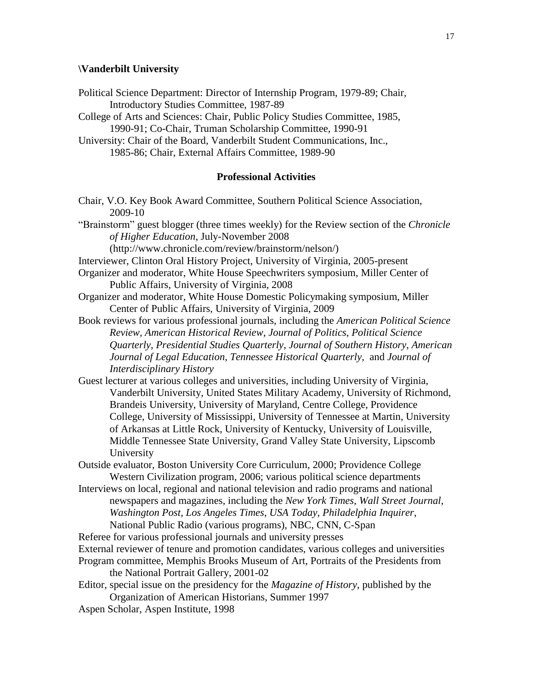#### **\Vanderbilt University**

- Political Science Department: Director of Internship Program, 1979-89; Chair, Introductory Studies Committee, 1987-89
- College of Arts and Sciences: Chair, Public Policy Studies Committee, 1985, 1990-91; Co-Chair, Truman Scholarship Committee, 1990-91
- University: Chair of the Board, Vanderbilt Student Communications, Inc., 1985-86; Chair, External Affairs Committee, 1989-90

## **Professional Activities**

Chair, V.O. Key Book Award Committee, Southern Political Science Association, 2009-10

"Brainstorm" guest blogger (three times weekly) for the Review section of the *Chronicle of Higher Education*, July-November 2008

(http://www.chronicle.com/review/brainstorm/nelson/)

- Interviewer, Clinton Oral History Project, University of Virginia, 2005-present
- Organizer and moderator, White House Speechwriters symposium, Miller Center of Public Affairs, University of Virginia, 2008
- Organizer and moderator, White House Domestic Policymaking symposium, Miller Center of Public Affairs, University of Virginia, 2009
- Book reviews for various professional journals, including the *American Political Science Review, American Historical Review*, *Journal of Politics*, *Political Science Quarterly*, *Presidential Studies Quarterly*, *Journal of Southern History*, *American Journal of Legal Education*, *Tennessee Historical Quarterly,* and *Journal of Interdisciplinary History*
- Guest lecturer at various colleges and universities, including University of Virginia, Vanderbilt University, United States Military Academy, University of Richmond, Brandeis University, University of Maryland, Centre College, Providence College, University of Mississippi, University of Tennessee at Martin, University of Arkansas at Little Rock, University of Kentucky, University of Louisville, Middle Tennessee State University, Grand Valley State University, Lipscomb University
- Outside evaluator, Boston University Core Curriculum, 2000; Providence College Western Civilization program, 2006; various political science departments
- Interviews on local, regional and national television and radio programs and national newspapers and magazines, including the *New York Times*, *Wall Street Journal*, *Washington Post*, *Los Angeles Times*, *USA Today*, *Philadelphia Inquirer*, National Public Radio (various programs), NBC, CNN, C-Span
- Referee for various professional journals and university presses
- External reviewer of tenure and promotion candidates, various colleges and universities
- Program committee, Memphis Brooks Museum of Art, Portraits of the Presidents from the National Portrait Gallery, 2001-02
- Editor, special issue on the presidency for the *Magazine of History*, published by the Organization of American Historians, Summer 1997
- Aspen Scholar, Aspen Institute, 1998